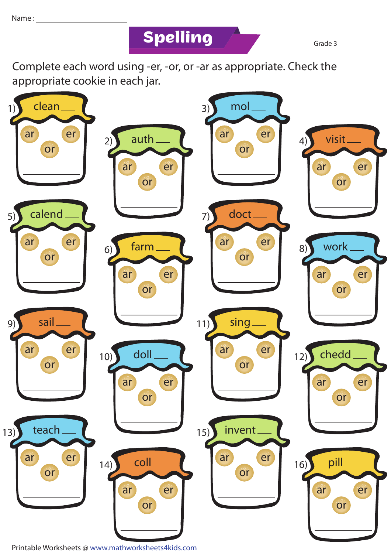**Spelling Grade 3** 

Complete each word using -er, -or, or -ar as appropriate. Check the appropriate cookie in each jar.



Printable Worksheets @ www.mathworksheets4kids.com